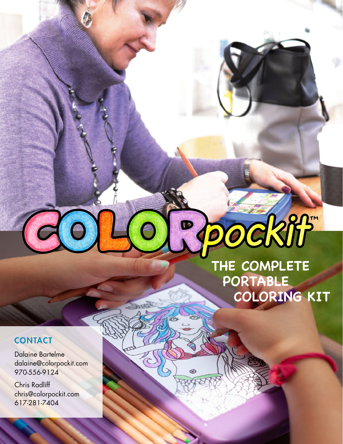## OCKIF"

## **THE COMPLETE PORTABLE COLORING KIT**

## **CONTACT**

Dalaine Bartelme dalaine@colorpockit.com 970-556-9124

**EVERENT** Chris Radliff chris@colorpockit.com 617-281-7404